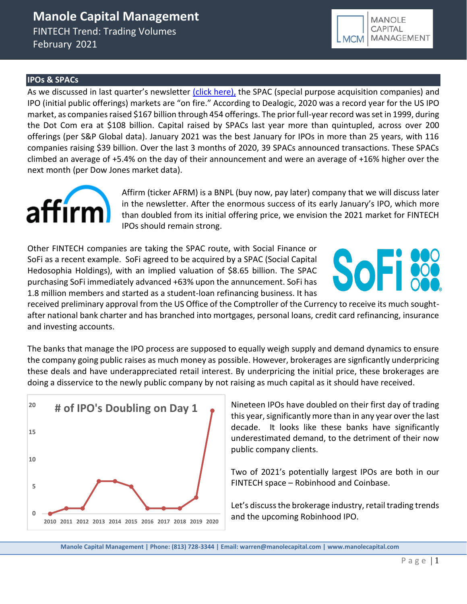February 2021



### **IPOs & SPACs**

As we discussed in last quarter's newsletter [\(click here\),](https://b9f3c509-36e7-4c54-97bf-174f29a2aa48.filesusr.com/ugd/43315f_baeebce939764d5ab5a038dee304dc40.pdf) the SPAC (special purpose acquisition companies) and IPO (initial public offerings) markets are "on fire." According to Dealogic, 2020 was a record year for the US IPO market, as companies raised \$167 billion through 454 offerings. The prior full-year record was set in 1999, during the Dot Com era at \$108 billion. Capital raised by SPACs last year more than quintupled, across over 200 offerings (per S&P Global data). January 2021 was the best January for IPOs in more than 25 years, with 116 companies raising \$39 billion. Over the last 3 months of 2020, 39 SPACs announced transactions. These SPACs climbed an average of +5.4% on the day of their announcement and were an average of +16% higher over the next month (per Dow Jones market data).



Affirm (ticker AFRM) is a BNPL (buy now, pay later) company that we will discuss later in the newsletter. After the enormous success of its early January's IPO, which more than doubled from its initial offering price, we envision the 2021 market for FINTECH IPOs should remain strong.

Other FINTECH companies are taking the SPAC route, with Social Finance or SoFi as a recent example. SoFi agreed to be acquired by a SPAC (Social Capital Hedosophia Holdings), with an implied valuation of \$8.65 billion. The SPAC purchasing SoFi immediately advanced +63% upon the annuncement. SoFi has 1.8 million members and started as a student-loan refinancing business. It has



received preliminary approval from the US Office of the Comptroller of the Currency to receive its much soughtafter national bank charter and has branched into mortgages, personal loans, credit card refinancing, insurance and investing accounts.

The banks that manage the IPO process are supposed to equally weigh supply and demand dynamics to ensure the company going public raises as much money as possible. However, brokerages are signficantly underpricing these deals and have underappreciated retail interest. By underpricing the initial price, these brokerages are doing a disservice to the newly public company by not raising as much capital as it should have received.



Nineteen IPOs have doubled on their first day of trading this year, significantly more than in any year over the last decade. It looks like these banks have significantly underestimated demand, to the detriment of their now public company clients.

Two of 2021's potentially largest IPOs are both in our FINTECH space – Robinhood and Coinbase.

Let's discuss the brokerage industry, retail trading trends

**Manole Capital Management | Phone: (813) 728-3344 | Email: warren@manolecapital.com | www.manolecapital.com**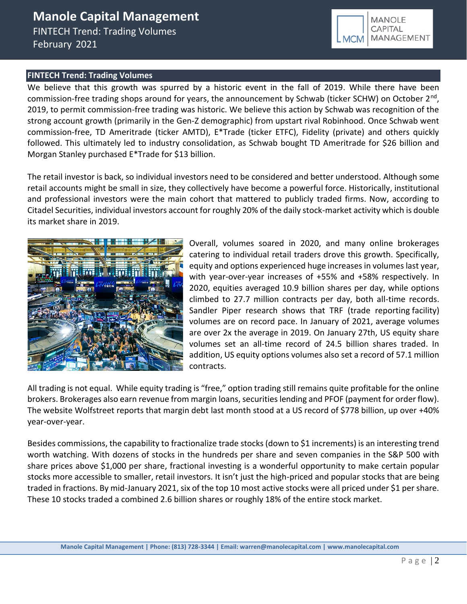#### **FINTECH Trend: Trading Volumes**

We believe that this growth was spurred by a historic event in the fall of 2019. While there have been commission-free trading shops around for years, the announcement by Schwab (ticker SCHW) on October 2<sup>nd</sup>, 2019, to permit commission-free trading was historic. We believe this action by Schwab was recognition of the strong account growth (primarily in the Gen-Z demographic) from upstart rival Robinhood. Once Schwab went commission-free, TD Ameritrade (ticker AMTD), E\*Trade (ticker ETFC), Fidelity (private) and others quickly followed. This ultimately led to industry consolidation, as Schwab bought TD Ameritrade for \$26 billion and Morgan Stanley purchased E\*Trade for \$13 billion.

The retail investor is back, so individual investors need to be considered and better understood. Although some retail accounts might be small in size, they collectively have become a powerful force. Historically, institutional and professional investors were the main cohort that mattered to publicly traded firms. Now, according to Citadel Securities, individual investors account for roughly 20% of the daily stock-market activity which is double its market share in 2019.



Overall, volumes soared in 2020, and many online brokerages catering to individual retail traders drove this growth. Specifically, equity and options experienced huge increases in volumes last year, with year-over-year increases of +55% and +58% respectively. In 2020, equities averaged 10.9 billion shares per day, while options climbed to 27.7 million contracts per day, both all-time records. Sandler Piper research shows that TRF (trade reporting facility) volumes are on record pace. In January of 2021, average volumes are over 2x the average in 2019. On January 27th, US equity share volumes set an all-time record of 24.5 billion shares traded. In addition, US equity options volumes also set a record of 57.1 million contracts.

**MANOLE** CAPITAL

**MCM** 

MANAGEMENT

All trading is not equal. While equity trading is "free," option trading still remains quite profitable for the online brokers. Brokerages also earn revenue from margin loans, securities lending and PFOF (payment for order flow). The website Wolfstreet reports that margin debt last month stood at a US record of \$778 billion, up over +40% year-over-year.

Besides commissions, the capability to fractionalize trade stocks (down to \$1 increments) is an interesting trend worth watching. With dozens of stocks in the hundreds per share and seven companies in the S&P 500 with share prices above \$1,000 per share, fractional investing is a wonderful opportunity to make certain popular stocks more accessible to smaller, retail investors. It isn't just the high-priced and popular stocks that are being traded in fractions. By mid-January 2021, six of the top 10 most active stocks were all priced under \$1 per share. These 10 stocks traded a combined 2.6 billion shares or roughly 18% of the entire stock market.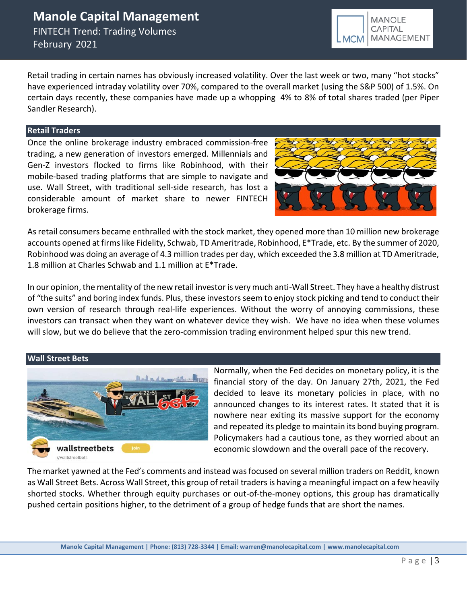Retail trading in certain names has obviously increased volatility. Over the last week or two, many "hot stocks" have experienced intraday volatility over 70%, compared to the overall market (using the S&P 500) of 1.5%. On certain days recently, these companies have made up a whopping 4% to 8% of total shares traded (per Piper Sandler Research).

### **Retail Traders**

Once the online brokerage industry embraced commission-free trading, a new generation of investors emerged. Millennials and Gen-Z investors flocked to firms like Robinhood, with their mobile-based trading platforms that are simple to navigate and use. Wall Street, with traditional sell-side research, has lost a considerable amount of market share to newer FINTECH brokerage firms.

As retail consumers became enthralled with the stock market, they opened more than 10 million new brokerage accounts opened at firms like Fidelity, Schwab, TD Ameritrade, Robinhood, E\*Trade, etc. By the summer of 2020, Robinhood was doing an average of 4.3 million trades per day, which exceeded the 3.8 million at TD Ameritrade, 1.8 million at Charles Schwab and 1.1 million at E\*Trade.

In our opinion, the mentality of the new retail investor is very much anti-Wall Street. They have a healthy distrust of "the suits" and boring index funds. Plus, these investors seem to enjoy stock picking and tend to conduct their own version of research through real-life experiences. Without the worry of annoying commissions, these investors can transact when they want on whatever device they wish. We have no idea when these volumes will slow, but we do believe that the zero-commission trading environment helped spur this new trend.

#### **Wall Street Bets**



Normally, when the Fed decides on monetary policy, it is the financial story of the day. On January 27th, 2021, the Fed decided to leave its monetary policies in place, with no announced changes to its interest rates. It stated that it is nowhere near exiting its massive support for the economy and repeated its pledge to maintain its bond buying program. Policymakers had a cautious tone, as they worried about an economic slowdown and the overall pace of the recovery.

The market yawned at the Fed's comments and instead was focused on several million traders on Reddit, known as Wall Street Bets. Across Wall Street, this group of retail traders is having a meaningful impact on a few heavily shorted stocks. Whether through equity purchases or out-of-the-money options, this group has dramatically pushed certain positions higher, to the detriment of a group of hedge funds that are short the names.

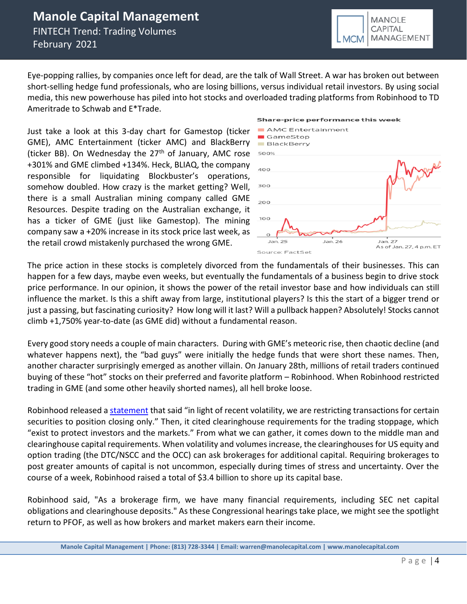Eye-popping rallies, by companies once left for dead, are the talk of Wall Street. A war has broken out between short-selling hedge fund professionals, who are losing billions, versus individual retail investors. By using social media, this new powerhouse has piled into hot stocks and [overloaded trading platforms](https://10point.cmail20.com/t/d-l-qlrhrc-ykihjtglr-yk/) from Robinhood to TD Ameritrade to Schwab and E\*Trade.

Just take a look at this 3-day chart for Gamestop (ticker GME), AMC Entertainment (ticker AMC) and BlackBerry (ticker BB). On Wednesday the  $27<sup>th</sup>$  of January, AMC rose +301% and GME climbed +134%. Heck, BLIAQ, the company responsible for liquidating Blockbuster's operations, somehow doubled. How crazy is the market getting? Well, there is a small Australian mining company called GME Resources. Despite trading on the Australian exchange, it has a ticker of GME (just like Gamestop). The mining company saw a +20% increase in its stock price last week, as the retail crowd mistakenly purchased the wrong GME.



**MCM** 

**MANOLE CAPITAL** 

**MANAGEMENT** 

The price action in these stocks is completely divorced from the fundamentals of their businesses. This can happen for a few days, maybe even weeks, but eventually the fundamentals of a business begin to drive stock price performance. In our opinion, it shows the power of the retail investor base and how individuals can still influence the market. Is this a shift away from large, institutional players? Is this the start of a bigger trend or just a passing, but fascinating curiosity? How long will it last? Will a pullback happen? Absolutely! Stocks cannot climb +1,750% year-to-date (as GME did) without a fundamental reason.

Every good story needs a couple of main characters. During with GME's meteoric rise, then chaotic decline (and whatever happens next), the "bad guys" were initially the hedge funds that were short these names. Then, another character surprisingly emerged as another villain. On January 28th, millions of retail traders continued buying of these "hot" stocks on their preferred and favorite platform – Robinhood. When Robinhood restricted trading in GME (and some other heavily shorted names), all hell broke loose.

Robinhood released a [statement](https://blog.robinhood.com/news/2021/2/1/a-letter-to-our-robinhood-community) that said "in light of recent volatility, we are restricting transactions for certain securities to position closing only." Then, it cited clearinghouse requirements for the trading stoppage, which "exist to protect investors and the markets." From what we can gather, it comes down to the middle man and clearinghouse capital requirements. When volatility and volumes increase, the clearinghouses for US equity and option trading (the DTC/NSCC and the OCC) can ask brokerages for additional capital. Requiring brokerages to post greater amounts of capital is not uncommon, especially during times of stress and uncertainty. Over the course of a week, Robinhood raised a total of \$3.4 billion to shore up its capital base.

Robinhood said, "As a brokerage firm, we have many financial requirements, including SEC net capital obligations and clearinghouse deposits." As these Congressional hearings take place, we might see the spotlight return to PFOF, as well as how brokers and market makers earn their income.

**Manole Capital Management | Phone: (813) 728-3344 | Email: warren@manolecapital.com | www.manolecapital.com**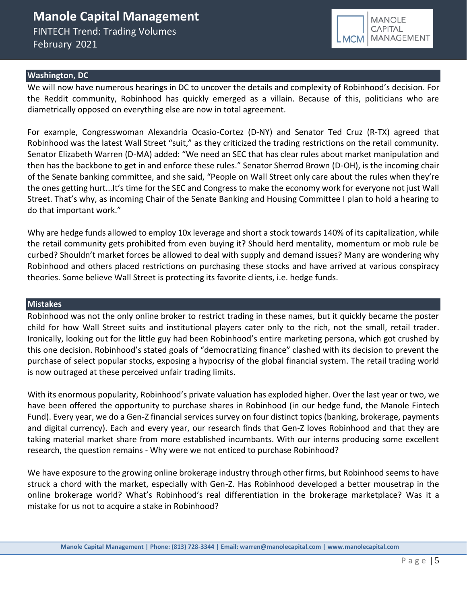

### **Washington, DC**

We will now have numerous hearings in DC to uncover the details and complexity of Robinhood's decision. For the Reddit community, Robinhood has quickly emerged as a villain. Because of this, politicians who are diametrically opposed on everything else are now in total agreement.

For example, Congresswoman Alexandria Ocasio-Cortez (D-NY) and Senator Ted Cruz (R-TX) agreed that Robinhood was the latest Wall Street "suit," as they criticized the trading restrictions on the retail community. Senator Elizabeth Warren (D-MA) added: "We need an SEC that has clear rules about market manipulation and then has the backbone to get in and enforce these rules." Senator Sherrod Brown (D-OH), is the incoming chair of the Senate banking committee, and she said, "People on Wall Street only care about the rules when they're the ones getting hurt...It's time for the SEC and Congress to make the economy work for everyone not just Wall Street. That's why, as incoming Chair of the Senate Banking and Housing Committee I plan to hold a hearing to do that important work."

Why are hedge funds allowed to employ 10x leverage and short a stock towards 140% of its capitalization, while the retail community gets prohibited from even buying it? Should herd mentality, momentum or mob rule be curbed? Shouldn't market forces be allowed to deal with supply and demand issues? Many are wondering why Robinhood and others placed restrictions on purchasing these stocks and have arrived at various conspiracy theories. Some believe Wall Street is protecting its favorite clients, i.e. hedge funds.

#### **Mistakes**

Robinhood was not the only online broker to restrict trading in these names, but it quickly became the poster child for how Wall Street suits and institutional players cater only to the rich, not the small, retail trader. Ironically, looking out for the little guy had been Robinhood's entire marketing persona, which got crushed by this one decision. Robinhood's stated goals of "democratizing finance" clashed with its decision to prevent the purchase of select popular stocks, exposing a hypocrisy of the global financial system. The retail trading world is now outraged at these perceived unfair trading limits.

With its enormous popularity, Robinhood's private valuation has exploded higher. Over the last year or two, we have been offered the opportunity to purchase shares in Robinhood (in our hedge fund, the Manole Fintech Fund). Every year, we do a Gen-Z financial services survey on four distinct topics (banking, brokerage, payments and digital currency). Each and every year, our research finds that Gen-Z loves Robinhood and that they are taking material market share from more established incumbants. With our interns producing some excellent research, the question remains - Why were we not enticed to purchase Robinhood?

We have exposure to the growing online brokerage industry through other firms, but Robinhood seems to have struck a chord with the market, especially with Gen-Z. Has Robinhood developed a better mousetrap in the online brokerage world? What's Robinhood's real differentiation in the brokerage marketplace? Was it a mistake for us not to acquire a stake in Robinhood?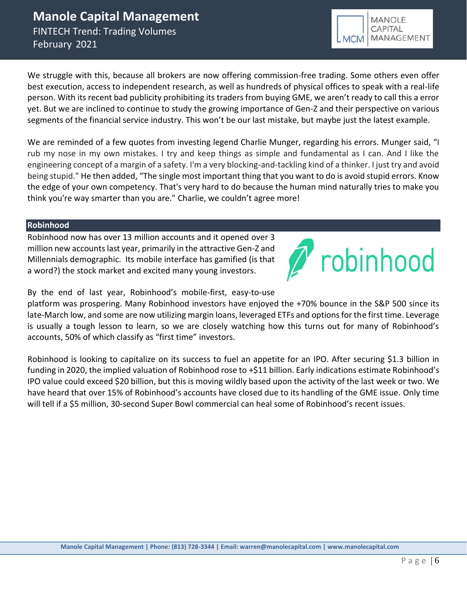We struggle with this, because all brokers are now offering commission-free trading. Some others even offer best execution, access to independent research, as well as hundreds of physical offices to speak with a real-life person. With its recent bad publicity prohibiting its traders from buying GME, we aren't ready to call this a error yet. But we are inclined to continue to study the growing importance of Gen-Z and their perspective on various segments of the financial service industry. This won't be our last mistake, but maybe just the latest example.

We are reminded of a few quotes from investing legend Charlie Munger, regarding his errors. Munger said, "I rub my nose in my own mistakes. I try and keep things as simple and fundamental as I can. And I like the engineering concept of a margin of a safety. I'm a very blocking-and-tackling kind of a thinker. I just try and avoid being stupid." He then added, "The single most important thing that you want to do is avoid stupid errors. Know the edge of your own competency. That's very hard to do because the human mind naturally tries to make you think you're way smarter than you are." Charlie, we couldn't agree more!

### **Robinhood**

Robinhood now has over 13 million accounts and it opened over 3 million new accountslast year, primarily in the attractive Gen-Z and Millennials demographic. Its mobile interface has gamified (is that a word?) the stock market and excited many young investors.

robinhood

By the end of last year, Robinhood's mobile-first, easy-to-use

platform was prospering. Many Robinhood investors have enjoyed the +70% bounce in the S&P 500 since its late-March low, and some are now utilizing margin loans, leveraged ETFs and options for the first time. Leverage is usually a tough lesson to learn, so we are closely watching how this turns out for many of Robinhood's accounts, 50% of which classify as "first time" investors.

Robinhood is looking to capitalize on its success to fuel an appetite for an IPO. After securing \$1.3 billion in funding in 2020, the implied valuation of Robinhood rose to +\$11 billion. Early indications estimate Robinhood's IPO value could exceed \$20 billion, but this is moving wildly based upon the activity of the last week or two. We have heard that over 15% of Robinhood's accounts have closed due to its handling of the GME issue. Only time will tell if a \$5 million, 30-second Super Bowl commercial can heal some of Robinhood's recent issues.